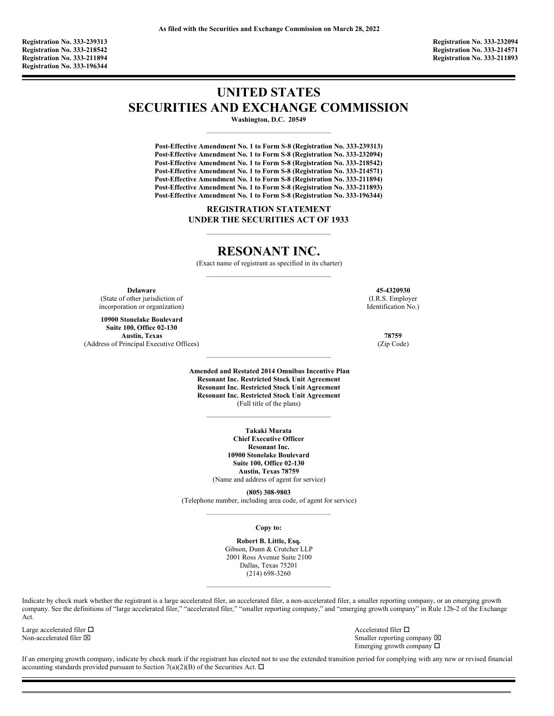**Registration No. 333-239313 Registration No. 333-232094 Registration No. 333-218542 Registration No. 333-214571 Registration No. 333-196344**

**Registration No. 333-211894 Registration No. 333-211893**

# **UNITED STATES SECURITIES AND EXCHANGE COMMISSION**

**Washington, D.C. 20549**

**Post-Effective Amendment No. 1 to Form S-8 (Registration No. 333-239313) Post-Effective Amendment No. 1 to Form S-8 (Registration No. 333-232094) Post-Effective Amendment No. 1 to Form S-8 (Registration No. 333-218542) Post-Effective Amendment No. 1 to Form S-8 (Registration No. 333-214571) Post-Effective Amendment No. 1 to Form S-8 (Registration No. 333-211894) Post-Effective Amendment No. 1 to Form S-8 (Registration No. 333-211893) Post-Effective Amendment No. 1 to Form S-8 (Registration No. 333-196344)**

> **REGISTRATION STATEMENT UNDER THE SECURITIES ACT OF 1933**

# **RESONANT INC.**

(Exact name of registrant as specified in its charter)

**Delaware** (State of other jurisdiction of incorporation or organization)

**10900 Stonelake Boulevard Suite 100, Office 02-130 Austin, Texas 78759** (Address of Principal Executive Offices) (Zip Code)

**45-4320930** (I.R.S. Employer Identification No.)

**Amended and Restated 2014 Omnibus Incentive Plan Resonant Inc. Restricted Stock Unit Agreement Resonant Inc. Restricted Stock Unit Agreement Resonant Inc. Restricted Stock Unit Agreement** (Full title of the plans)

> **Takaki Murata Chief Executive Officer Resonant Inc. 10900 Stonelake Boulevard Suite 100, Office 02-130 Austin, Texas 78759** (Name and address of agent for service)

**(805) 308-9803** (Telephone number, including area code, of agent for service)

**Copy to:**

**Robert B. Little, Esq.** Gibson, Dunn & Crutcher LLP 2001 Ross Avenue Suite 2100 Dallas, Texas 75201 (214) 698-3260

Indicate by check mark whether the registrant is a large accelerated filer, an accelerated filer, a non-accelerated filer, a smaller reporting company, or an emerging growth company. See the definitions of "large accelerated filer," "accelerated filer," "smaller reporting company," and "emerging growth company" in Rule 12b-2 of the Exchange Act.

Large accelerated filer  $\Box$ <br>
Non-accelerated filer  $\boxtimes$ <br>
Non-accelerated filer  $\boxtimes$ 

Smaller reporting company  $\boxtimes$ Emerging growth company  $\square$ 

If an emerging growth company, indicate by check mark if the registrant has elected not to use the extended transition period for complying with any new or revised financial accounting standards provided pursuant to Section 7(a)(2)(B) of the Securities Act.  $\Box$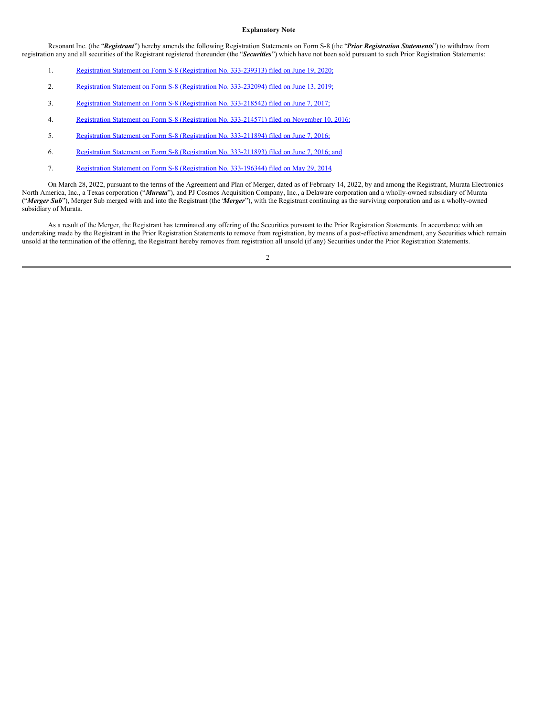#### **Explanatory Note**

Resonant Inc. (the "*Registrant*") hereby amends the following Registration Statements on Form S-8 (the "*Prior Registration Statements*") to withdraw from registration any and all securities of the Registrant registered thereunder (the "*Securities*") which have not been sold pursuant to such Prior Registration Statements:

- 1. Registration Statement on Form S-8 [\(Registration](http://www.sec.gov/Archives/edgar/data/1579910/000110465920075264/tm2022963d1_s8.htm) No. 333-239313) filed on June 19, 2020;
- 2. Registration Statement on Form S-8 [\(Registration](http://www.sec.gov/Archives/edgar/data/1579910/000110465919035347/a19-11465_1s8.htm) No. 333-232094) filed on June 13, 2019;
- 3. Registration Statement on Form S-8 [\(Registration](http://www.sec.gov/Archives/edgar/data/1579910/000157991017000019/forms-82014plansupplementa.htm) No. 333-218542) filed on June 7, 2017;
- 4. Registration Statement on Form S-8 [\(Registration](http://www.sec.gov/Archives/edgar/data/1579910/000110465916156287/a16-21277_1s8.htm) No. 333-214571) filed on November 10, 2016;
- 5. Registration Statement on Form S-8 [\(Registration](http://www.sec.gov/Archives/edgar/data/1579910/000157991016000027/resonant-xformsx8holmesind.htm) No. 333-211894) filed on June 7, 2016;
- 6. Registration Statement on Form S-8 [\(Registration](http://www.sec.gov/Archives/edgar/data/1579910/000157991016000026/resonant-xformsx82014plans.htm) No. 333-211893) filed on June 7, 2016; and
- 7. Registration Statement on Form S-8 [\(Registration](http://www.sec.gov/Archives/edgar/data/1579910/000110465914042096/a14-13524_1s8.htm) No. 333-196344) filed on May 29, 2014.

On March 28, 2022, pursuant to the terms of the Agreement and Plan of Merger, dated as of February 14, 2022, by and among the Registrant, Murata Electronics North America, Inc., a Texas corporation ("*Murata*"), and PJ Cosmos Acquisition Company, Inc., a Delaware corporation and a wholly-owned subsidiary of Murata ("*Merger Sub*"), Merger Sub merged with and into the Registrant (the "*Merger*"), with the Registrant continuing as the surviving corporation and as a wholly-owned subsidiary of Murata.

As a result of the Merger, the Registrant has terminated any offering of the Securities pursuant to the Prior Registration Statements. In accordance with an undertaking made by the Registrant in the Prior Registration Statements to remove from registration, by means of a post-effective amendment, any Securities which remain unsold at the termination of the offering, the Registrant hereby removes from registration all unsold (if any) Securities under the Prior Registration Statements.